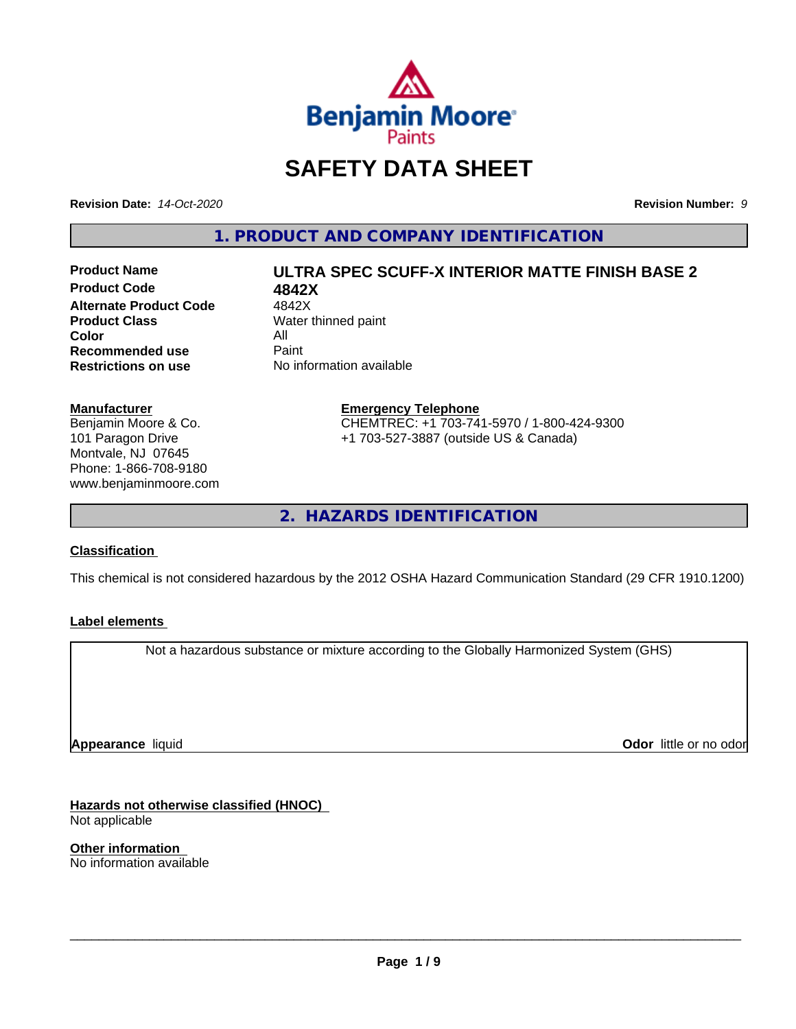

## **SAFETY DATA SHEET**

**Revision Date:** *14-Oct-2020* **Revision Number:** *9*

**1. PRODUCT AND COMPANY IDENTIFICATION**

**Product Code 4842X**<br>**Alternate Product Code** 4842X **Alternate Product Code**<br>Product Class **Color** All<br> **Recommended use** Paint **Recommended use**<br>Restrictions on use

# **Product Name ULTRA SPEC SCUFF-X INTERIOR MATTE FINISH BASE 2**

**Water thinned paint No information available** 

#### **Manufacturer**

Benjamin Moore & Co. 101 Paragon Drive Montvale, NJ 07645 Phone: 1-866-708-9180 www.benjaminmoore.com

#### **Emergency Telephone** CHEMTREC: +1 703-741-5970 / 1-800-424-9300 +1 703-527-3887 (outside US & Canada)

**2. HAZARDS IDENTIFICATION**

#### **Classification**

This chemical is not considered hazardous by the 2012 OSHA Hazard Communication Standard (29 CFR 1910.1200)

#### **Label elements**

Not a hazardous substance or mixture according to the Globally Harmonized System (GHS)

**Appearance** liquid

**Odor** little or no odor

**Hazards not otherwise classified (HNOC)** Not applicable

**Other information** No information available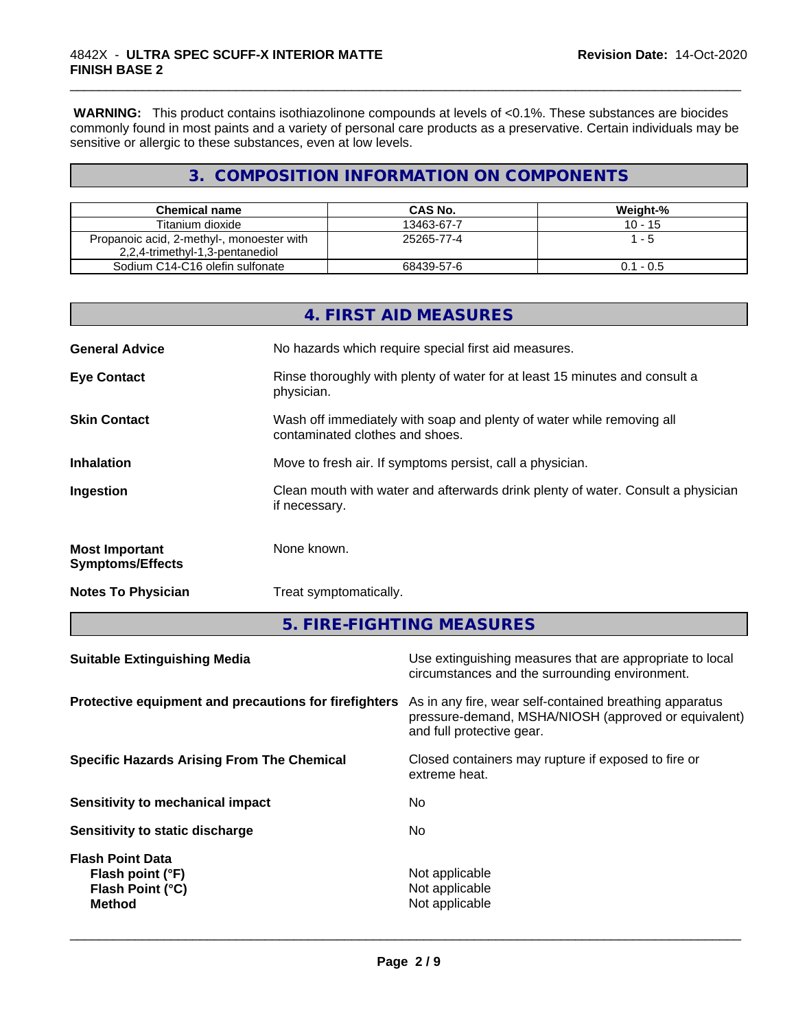**WARNING:** This product contains isothiazolinone compounds at levels of <0.1%. These substances are biocides commonly found in most paints and a variety of personal care products as a preservative. Certain individuals may be sensitive or allergic to these substances, even at low levels.

\_\_\_\_\_\_\_\_\_\_\_\_\_\_\_\_\_\_\_\_\_\_\_\_\_\_\_\_\_\_\_\_\_\_\_\_\_\_\_\_\_\_\_\_\_\_\_\_\_\_\_\_\_\_\_\_\_\_\_\_\_\_\_\_\_\_\_\_\_\_\_\_\_\_\_\_\_\_\_\_\_\_\_\_\_\_\_\_\_\_\_\_\_

#### **3. COMPOSITION INFORMATION ON COMPONENTS**

| Chemical name                                                                | CAS No.    | Weight-%    |
|------------------------------------------------------------------------------|------------|-------------|
| Titanium dioxide                                                             | 13463-67-7 | 10 - 15     |
| Propanoic acid, 2-methyl-, monoester with<br>2,2,4-trimethyl-1,3-pentanediol | 25265-77-4 | - 5         |
| Sodium C14-C16 olefin sulfonate                                              | 68439-57-6 | $0.1 - 0.5$ |

|                                                  | 4. FIRST AID MEASURES                                                                                    |
|--------------------------------------------------|----------------------------------------------------------------------------------------------------------|
| <b>General Advice</b>                            | No hazards which require special first aid measures.                                                     |
| <b>Eye Contact</b>                               | Rinse thoroughly with plenty of water for at least 15 minutes and consult a<br>physician.                |
| <b>Skin Contact</b>                              | Wash off immediately with soap and plenty of water while removing all<br>contaminated clothes and shoes. |
| <b>Inhalation</b>                                | Move to fresh air. If symptoms persist, call a physician.                                                |
| Ingestion                                        | Clean mouth with water and afterwards drink plenty of water. Consult a physician<br>if necessary.        |
| <b>Most Important</b><br><b>Symptoms/Effects</b> | None known.                                                                                              |
| <b>Notes To Physician</b>                        | Treat symptomatically.                                                                                   |

**5. FIRE-FIGHTING MEASURES**

| <b>Suitable Extinguishing Media</b>                                              | Use extinguishing measures that are appropriate to local<br>circumstances and the surrounding environment.                                   |
|----------------------------------------------------------------------------------|----------------------------------------------------------------------------------------------------------------------------------------------|
| Protective equipment and precautions for firefighters                            | As in any fire, wear self-contained breathing apparatus<br>pressure-demand, MSHA/NIOSH (approved or equivalent)<br>and full protective gear. |
| <b>Specific Hazards Arising From The Chemical</b>                                | Closed containers may rupture if exposed to fire or<br>extreme heat.                                                                         |
| Sensitivity to mechanical impact                                                 | No.                                                                                                                                          |
| Sensitivity to static discharge                                                  | No.                                                                                                                                          |
| <b>Flash Point Data</b><br>Flash point (°F)<br>Flash Point (°C)<br><b>Method</b> | Not applicable<br>Not applicable<br>Not applicable                                                                                           |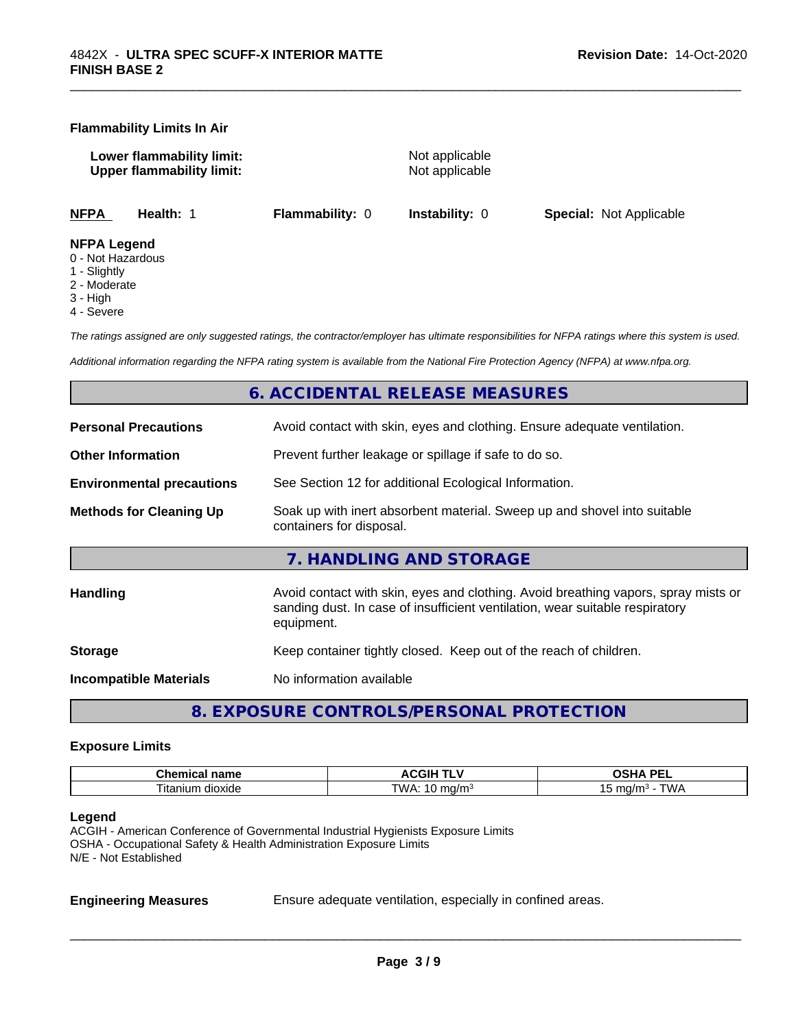#### **Flammability Limits In Air**

**Lower flammability limit:** Not applicable **Upper flammability limit:** Not applicable

\_\_\_\_\_\_\_\_\_\_\_\_\_\_\_\_\_\_\_\_\_\_\_\_\_\_\_\_\_\_\_\_\_\_\_\_\_\_\_\_\_\_\_\_\_\_\_\_\_\_\_\_\_\_\_\_\_\_\_\_\_\_\_\_\_\_\_\_\_\_\_\_\_\_\_\_\_\_\_\_\_\_\_\_\_\_\_\_\_\_\_\_\_

**NFPA Health:** 1 **Flammability:** 0 **Instability:** 0 **Special:** Not Applicable

#### **NFPA Legend**

- 0 Not Hazardous
- 1 Slightly
- 2 Moderate
- 3 High
- 4 Severe

*The ratings assigned are only suggested ratings, the contractor/employer has ultimate responsibilities for NFPA ratings where this system is used.*

*Additional information regarding the NFPA rating system is available from the National Fire Protection Agency (NFPA) at www.nfpa.org.*

#### **6. ACCIDENTAL RELEASE MEASURES**

| <b>Personal Precautions</b>      | Avoid contact with skin, eyes and clothing. Ensure adequate ventilation.                                                                                                         |
|----------------------------------|----------------------------------------------------------------------------------------------------------------------------------------------------------------------------------|
| <b>Other Information</b>         | Prevent further leakage or spillage if safe to do so.                                                                                                                            |
| <b>Environmental precautions</b> | See Section 12 for additional Ecological Information.                                                                                                                            |
| <b>Methods for Cleaning Up</b>   | Soak up with inert absorbent material. Sweep up and shovel into suitable<br>containers for disposal.                                                                             |
|                                  | 7. HANDLING AND STORAGE                                                                                                                                                          |
| Handling                         | Avoid contact with skin, eyes and clothing. Avoid breathing vapors, spray mists or<br>sanding dust. In case of insufficient ventilation, wear suitable respiratory<br>equipment. |
| <b>Storage</b>                   | Keep container tightly closed. Keep out of the reach of children.                                                                                                                |
| <b>Incompatible Materials</b>    | No information available                                                                                                                                                         |
|                                  |                                                                                                                                                                                  |

**8. EXPOSURE CONTROLS/PERSONAL PROTECTION**

#### **Exposure Limits**

| Chemic<br>name<br>.  | <b>ACGIH <sup>-</sup></b><br>.          | <b>DEI</b><br>n<br>--<br>-- |
|----------------------|-----------------------------------------|-----------------------------|
| l itanium<br>dioxide | TWA.<br>ma/m<br>$\cdot$ in m<br>$\cdot$ | ma/m∘<br><i>UN ¤</i><br>~   |

#### **Legend**

ACGIH - American Conference of Governmental Industrial Hygienists Exposure Limits OSHA - Occupational Safety & Health Administration Exposure Limits N/E - Not Established

**Engineering Measures** Ensure adequate ventilation, especially in confined areas.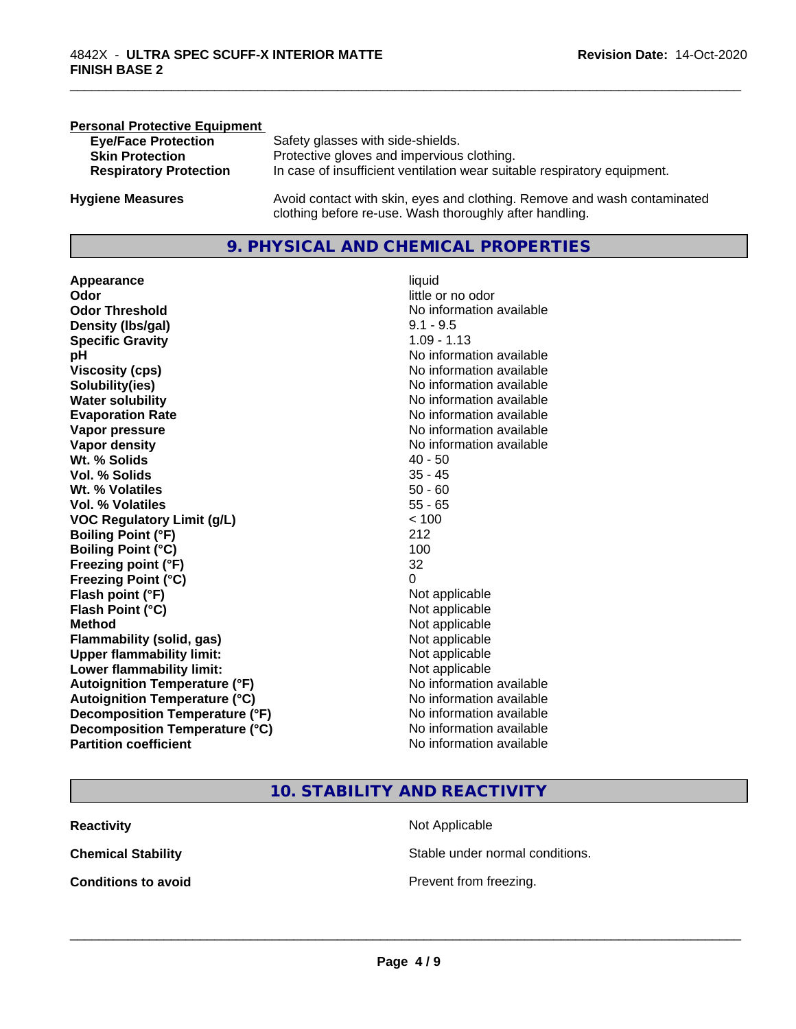| <b>Personal Protective Equipment</b> |                                                                                                                                     |
|--------------------------------------|-------------------------------------------------------------------------------------------------------------------------------------|
| <b>Eye/Face Protection</b>           | Safety glasses with side-shields.                                                                                                   |
| <b>Skin Protection</b>               | Protective gloves and impervious clothing.                                                                                          |
| <b>Respiratory Protection</b>        | In case of insufficient ventilation wear suitable respiratory equipment.                                                            |
| <b>Hygiene Measures</b>              | Avoid contact with skin, eyes and clothing. Remove and wash contaminated<br>clothing before re-use. Wash thoroughly after handling. |

#### **9. PHYSICAL AND CHEMICAL PROPERTIES**

**Appearance** liquid **Odor** little or no odor **Odor Threshold** No information available **Density (lbs/gal)** 9.1 - 9.5 **Specific Gravity** 1.09 - 1.13 **pH pH**  $\blacksquare$ **Viscosity (cps)** <br> **Viscosity (cps)** No information available<br>
No information available<br>
No information available **Solubility(ies)**<br> **No** information available<br> **Water solubility**<br> **Water solubility Evaporation Rate Evaporation Rate No information available Vapor pressure** No information available **No information** available **Vapor density**<br> **Vapor density**<br> **With % Solids**<br>
With % Solids
2019 **Wt. % Solids** 40 - 50 **Vol. % Solids Wt. % Volatiles** 50 - 60 **Vol. % Volatiles** 55 - 65 **VOC Regulatory Limit (g/L)** < 100 **Boiling Point (°F)** 212 **Boiling Point (°C)** 100 **Freezing point (°F)** 32 **Freezing Point (°C)** 0 **Flash point (°F)**<br> **Flash Point (°C)**<br> **Flash Point (°C)**<br> **C Flash Point (°C) Method** Not applicable not applicable not applicable not applicable not applicable not applicable not applicable not applicable not applicable not applicable not applicable not applicable not applicable not applicable not **Flammability (solid, gas)**<br> **Upper flammability limit:**<br>
Upper flammability limit:<br>  $\begin{array}{ccc}\n\bullet & \bullet & \bullet \\
\bullet & \bullet & \bullet\n\end{array}$  Not applicable **Upper flammability limit: Lower flammability limit:** Not applicable **Autoignition Temperature (°F)** No information available **Autoignition Temperature (°C)** No information available **Decomposition Temperature (°F)** No information available<br> **Decomposition Temperature (°C)** No information available **Decomposition Temperature (°C)**<br>Partition coefficient

**No information available No information available** 

\_\_\_\_\_\_\_\_\_\_\_\_\_\_\_\_\_\_\_\_\_\_\_\_\_\_\_\_\_\_\_\_\_\_\_\_\_\_\_\_\_\_\_\_\_\_\_\_\_\_\_\_\_\_\_\_\_\_\_\_\_\_\_\_\_\_\_\_\_\_\_\_\_\_\_\_\_\_\_\_\_\_\_\_\_\_\_\_\_\_\_\_\_

#### **10. STABILITY AND REACTIVITY**

| <b>Reactivity</b>          | Not Applicable         |
|----------------------------|------------------------|
| <b>Chemical Stability</b>  | Stable under normal c  |
| <b>Conditions to avoid</b> | Prevent from freezing. |

Stable under normal conditions.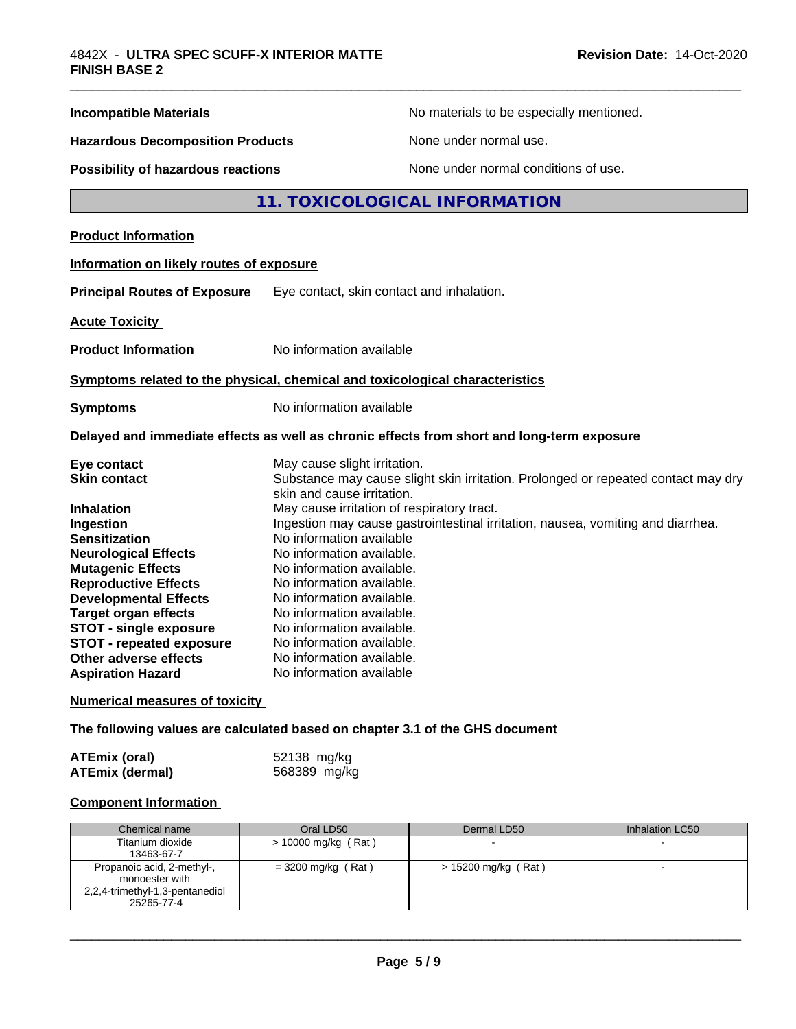| <b>Incompatible Materials</b>             | No materials to be especially mentioned.                                                                        |
|-------------------------------------------|-----------------------------------------------------------------------------------------------------------------|
| <b>Hazardous Decomposition Products</b>   | None under normal use.                                                                                          |
| <b>Possibility of hazardous reactions</b> | None under normal conditions of use.                                                                            |
|                                           | 11. TOXICOLOGICAL INFORMATION                                                                                   |
| <b>Product Information</b>                |                                                                                                                 |
| Information on likely routes of exposure  |                                                                                                                 |
| <b>Principal Routes of Exposure</b>       | Eye contact, skin contact and inhalation.                                                                       |
| <b>Acute Toxicity</b>                     |                                                                                                                 |
| <b>Product Information</b>                | No information available                                                                                        |
|                                           | Symptoms related to the physical, chemical and toxicological characteristics                                    |
| <b>Symptoms</b>                           | No information available                                                                                        |
|                                           | Delayed and immediate effects as well as chronic effects from short and long-term exposure                      |
| Eye contact                               | May cause slight irritation.                                                                                    |
| <b>Skin contact</b>                       | Substance may cause slight skin irritation. Prolonged or repeated contact may dry<br>skin and cause irritation. |
| <b>Inhalation</b>                         | May cause irritation of respiratory tract.                                                                      |
| Ingestion                                 | Ingestion may cause gastrointestinal irritation, nausea, vomiting and diarrhea.                                 |
| <b>Sensitization</b>                      | No information available                                                                                        |
| <b>Neurological Effects</b>               | No information available.                                                                                       |
| <b>Mutagenic Effects</b>                  | No information available.                                                                                       |
| <b>Reproductive Effects</b>               | No information available.                                                                                       |
| <b>Developmental Effects</b>              | No information available.                                                                                       |
| <b>Target organ effects</b>               | No information available.                                                                                       |
| <b>STOT - single exposure</b>             | No information available.                                                                                       |
| <b>STOT - repeated exposure</b>           | No information available.                                                                                       |
| Other adverse effects                     | No information available.                                                                                       |
| <b>Aspiration Hazard</b>                  | No information available                                                                                        |
| <b>Numerical measures of toxicity</b>     |                                                                                                                 |
|                                           | The following values are calculated based on chapter 3.1 of the GHS document                                    |

| <b>ATEmix (oral)</b>   | 52138 mg/kg  |
|------------------------|--------------|
| <b>ATEmix (dermal)</b> | 568389 mg/kg |

### **Component Information**

| Chemical name                                                                                 | Oral LD50            | Dermal LD50           | Inhalation LC50 |
|-----------------------------------------------------------------------------------------------|----------------------|-----------------------|-----------------|
| Titanium dioxide<br>13463-67-7                                                                | > 10000 mg/kg (Rat)  |                       |                 |
| Propanoic acid, 2-methyl-,<br>monoester with<br>2,2,4-trimethyl-1,3-pentanediol<br>25265-77-4 | $= 3200$ mg/kg (Rat) | $> 15200$ mg/kg (Rat) |                 |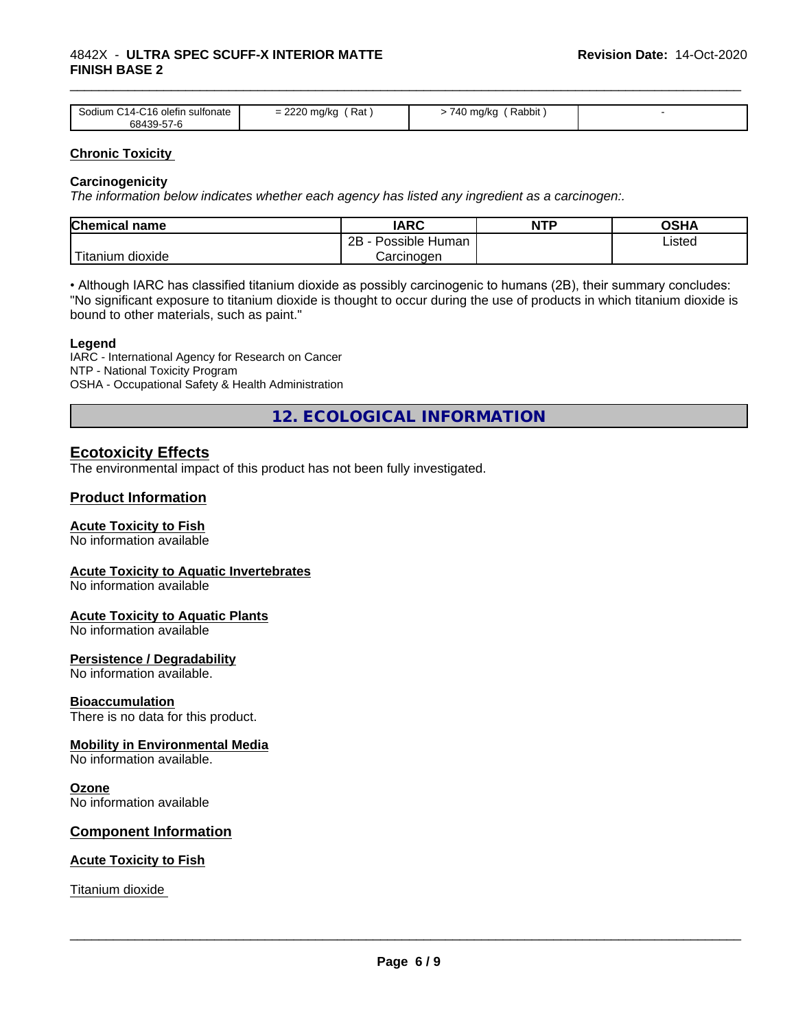| C <sub>14</sub> -C <sub>16</sub> olefin<br>Sodium<br>sultonate<br>68439-57-6 | חמממ<br>Rat<br>mg/kg<br>=<br>$\sim$ | Rabbit<br>740<br>∣ mg/kc |  |
|------------------------------------------------------------------------------|-------------------------------------|--------------------------|--|

\_\_\_\_\_\_\_\_\_\_\_\_\_\_\_\_\_\_\_\_\_\_\_\_\_\_\_\_\_\_\_\_\_\_\_\_\_\_\_\_\_\_\_\_\_\_\_\_\_\_\_\_\_\_\_\_\_\_\_\_\_\_\_\_\_\_\_\_\_\_\_\_\_\_\_\_\_\_\_\_\_\_\_\_\_\_\_\_\_\_\_\_\_

#### **Chronic Toxicity**

#### **Carcinogenicity**

*The information below indicateswhether each agency has listed any ingredient as a carcinogen:.*

| Chemical<br>name          | <b>IARC</b>                               | NTP | $\sim$ $\sim$<br>אחטט |
|---------------------------|-------------------------------------------|-----|-----------------------|
|                           | .<br>クロ<br>Human<br>Possible<br><u>__</u> |     | Listed                |
| dioxide<br><b>itanium</b> | Carcinoɑen                                |     |                       |

• Although IARC has classified titanium dioxide as possibly carcinogenic to humans (2B), their summary concludes: "No significant exposure to titanium dioxide is thought to occur during the use of products in which titanium dioxide is bound to other materials, such as paint."

#### **Legend**

IARC - International Agency for Research on Cancer NTP - National Toxicity Program OSHA - Occupational Safety & Health Administration

**12. ECOLOGICAL INFORMATION**

#### **Ecotoxicity Effects**

The environmental impact of this product has not been fully investigated.

#### **Product Information**

#### **Acute Toxicity to Fish**

No information available

#### **Acute Toxicity to Aquatic Invertebrates**

No information available

#### **Acute Toxicity to Aquatic Plants**

No information available

#### **Persistence / Degradability**

No information available.

#### **Bioaccumulation**

There is no data for this product.

#### **Mobility in Environmental Media**

No information available.

#### **Ozone**

No information available

#### **Component Information**

#### **Acute Toxicity to Fish**

Titanium dioxide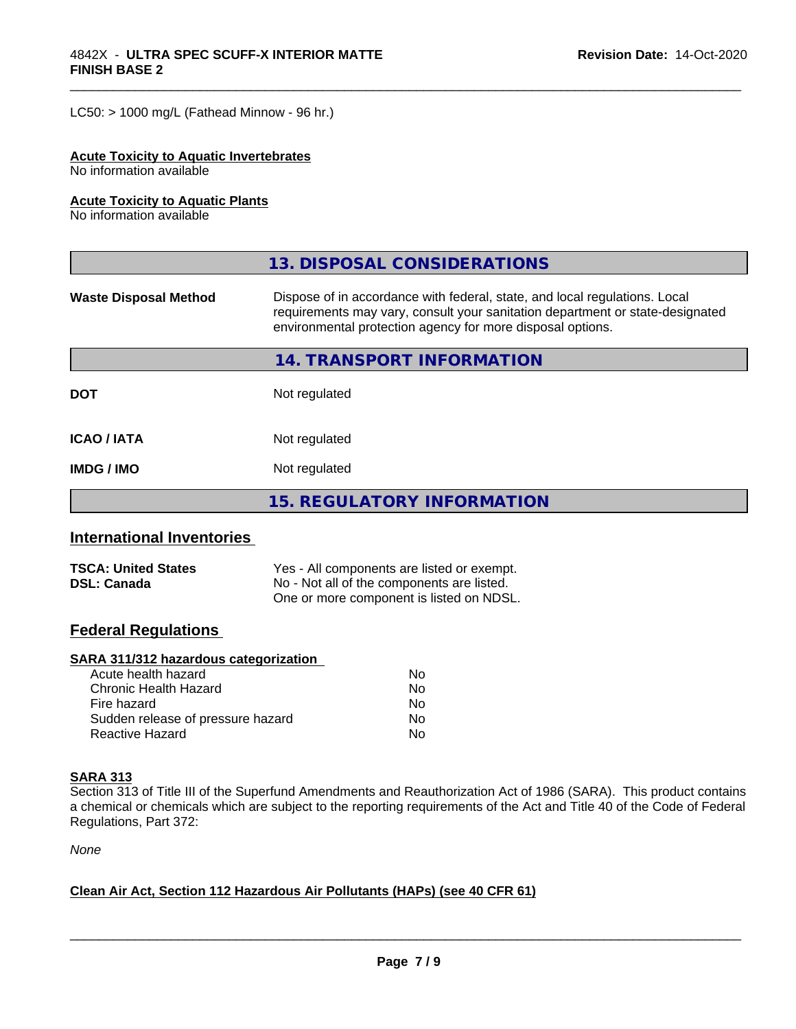$LC50:$  > 1000 mg/L (Fathead Minnow - 96 hr.)

#### **Acute Toxicity to Aquatic Invertebrates**

No information available

#### **Acute Toxicity to Aquatic Plants**

No information available

|                              | 13. DISPOSAL CONSIDERATIONS                                                                                                                                                                                               |  |
|------------------------------|---------------------------------------------------------------------------------------------------------------------------------------------------------------------------------------------------------------------------|--|
| <b>Waste Disposal Method</b> | Dispose of in accordance with federal, state, and local regulations. Local<br>requirements may vary, consult your sanitation department or state-designated<br>environmental protection agency for more disposal options. |  |
|                              | 14. TRANSPORT INFORMATION                                                                                                                                                                                                 |  |
| <b>DOT</b>                   | Not regulated                                                                                                                                                                                                             |  |
| <b>ICAO/IATA</b>             | Not regulated                                                                                                                                                                                                             |  |
| <b>IMDG/IMO</b>              | Not regulated                                                                                                                                                                                                             |  |
|                              | <b>15. REGULATORY INFORMATION</b>                                                                                                                                                                                         |  |

\_\_\_\_\_\_\_\_\_\_\_\_\_\_\_\_\_\_\_\_\_\_\_\_\_\_\_\_\_\_\_\_\_\_\_\_\_\_\_\_\_\_\_\_\_\_\_\_\_\_\_\_\_\_\_\_\_\_\_\_\_\_\_\_\_\_\_\_\_\_\_\_\_\_\_\_\_\_\_\_\_\_\_\_\_\_\_\_\_\_\_\_\_

#### **International Inventories**

| <b>TSCA: United States</b> | Yes - All components are listed or exempt. |
|----------------------------|--------------------------------------------|
| <b>DSL: Canada</b>         | No - Not all of the components are listed. |
|                            | One or more component is listed on NDSL.   |

#### **Federal Regulations**

#### **SARA 311/312 hazardous categorization**

| Acute health hazard               | Nο |  |
|-----------------------------------|----|--|
| Chronic Health Hazard             | Nο |  |
| Fire hazard                       | Nο |  |
| Sudden release of pressure hazard | Nο |  |
| Reactive Hazard                   | Nο |  |

#### **SARA 313**

Section 313 of Title III of the Superfund Amendments and Reauthorization Act of 1986 (SARA). This product contains a chemical or chemicals which are subject to the reporting requirements of the Act and Title 40 of the Code of Federal Regulations, Part 372:

*None*

#### **Clean Air Act,Section 112 Hazardous Air Pollutants (HAPs) (see 40 CFR 61)**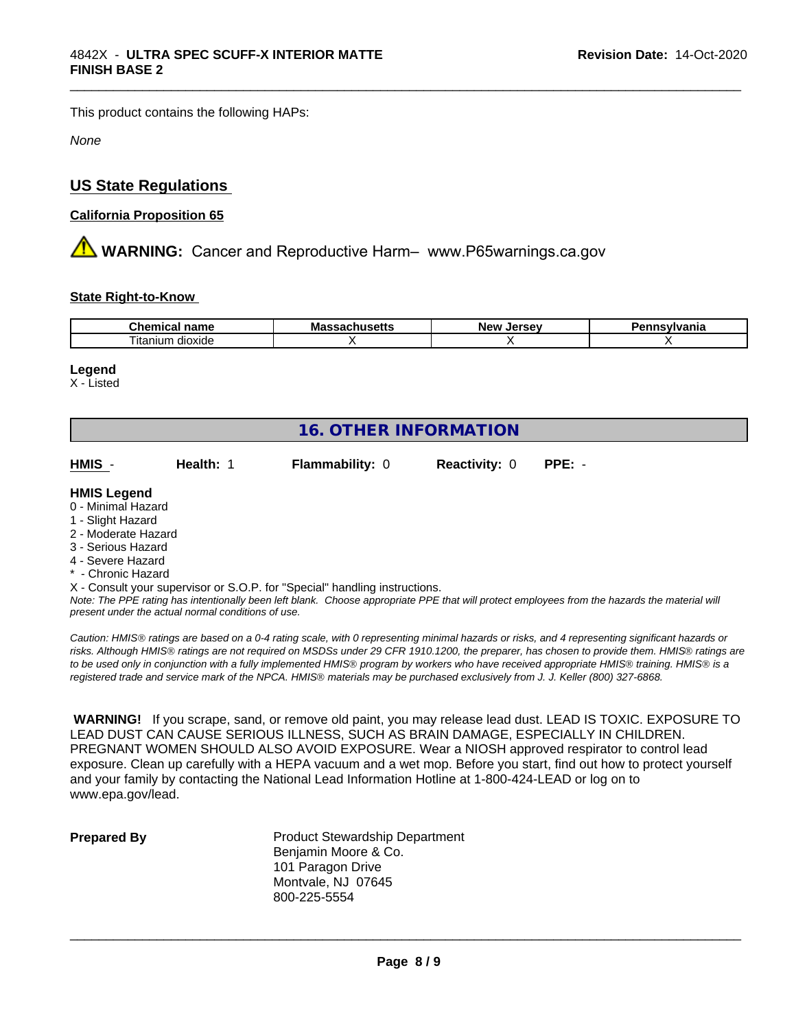This product contains the following HAPs:

*None*

#### **US State Regulations**

#### **California Proposition 65**

**A WARNING:** Cancer and Reproductive Harm– www.P65warnings.ca.gov

#### **State Right-to-Know**

| Cher<br>name<br>шса        | Mass<br>unus <del>c</del> แร<br>71 | ۱۸ ماه<br>וום זי<br>ימי<br>. .<br>-35 | vivania |
|----------------------------|------------------------------------|---------------------------------------|---------|
| --<br>dioxide<br>i itanıum |                                    |                                       |         |

\_\_\_\_\_\_\_\_\_\_\_\_\_\_\_\_\_\_\_\_\_\_\_\_\_\_\_\_\_\_\_\_\_\_\_\_\_\_\_\_\_\_\_\_\_\_\_\_\_\_\_\_\_\_\_\_\_\_\_\_\_\_\_\_\_\_\_\_\_\_\_\_\_\_\_\_\_\_\_\_\_\_\_\_\_\_\_\_\_\_\_\_\_

#### **Legend**

X - Listed

| <b>16. OTHER INFORMATION</b>                                                                                                                          |           |                                                                            |                      |          |  |
|-------------------------------------------------------------------------------------------------------------------------------------------------------|-----------|----------------------------------------------------------------------------|----------------------|----------|--|
| HMIS -                                                                                                                                                | Health: 1 | <b>Flammability: 0</b>                                                     | <b>Reactivity: 0</b> | $PPE: -$ |  |
| <b>HMIS Legend</b><br>0 - Minimal Hazard<br>1 - Slight Hazard<br>2 - Moderate Hazard<br>3 - Serious Hazard<br>4 - Severe Hazard<br>* - Chronic Hazard |           | X - Consult your supervisor or S.O.P. for "Special" handling instructions. |                      |          |  |

*Note: The PPE rating has intentionally been left blank. Choose appropriate PPE that will protect employees from the hazards the material will present under the actual normal conditions of use.*

*Caution: HMISÒ ratings are based on a 0-4 rating scale, with 0 representing minimal hazards or risks, and 4 representing significant hazards or risks. Although HMISÒ ratings are not required on MSDSs under 29 CFR 1910.1200, the preparer, has chosen to provide them. HMISÒ ratings are to be used only in conjunction with a fully implemented HMISÒ program by workers who have received appropriate HMISÒ training. HMISÒ is a registered trade and service mark of the NPCA. HMISÒ materials may be purchased exclusively from J. J. Keller (800) 327-6868.*

 **WARNING!** If you scrape, sand, or remove old paint, you may release lead dust. LEAD IS TOXIC. EXPOSURE TO LEAD DUST CAN CAUSE SERIOUS ILLNESS, SUCH AS BRAIN DAMAGE, ESPECIALLY IN CHILDREN. PREGNANT WOMEN SHOULD ALSO AVOID EXPOSURE. Wear a NIOSH approved respirator to control lead exposure. Clean up carefully with a HEPA vacuum and a wet mop. Before you start, find out how to protect yourself and your family by contacting the National Lead Information Hotline at 1-800-424-LEAD or log on to www.epa.gov/lead.

**Prepared By** Product Stewardship Department Benjamin Moore & Co. 101 Paragon Drive Montvale, NJ 07645 800-225-5554